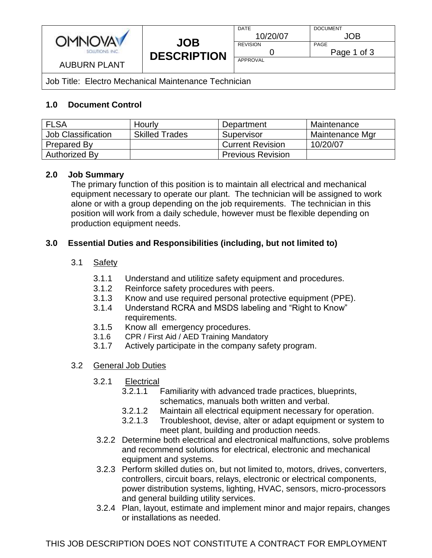

Job Title: Electro Mechanical Maintenance Technician

# **1.0 Document Control**

| <b>FLSA</b>        | Hourly                | Department               | Maintenance     |
|--------------------|-----------------------|--------------------------|-----------------|
| Job Classification | <b>Skilled Trades</b> | Supervisor               | Maintenance Mgr |
| <b>Prepared By</b> |                       | <b>Current Revision</b>  | 10/20/07        |
| Authorized By      |                       | <b>Previous Revision</b> |                 |

### **2.0 Job Summary**

The primary function of this position is to maintain all electrical and mechanical equipment necessary to operate our plant. The technician will be assigned to work alone or with a group depending on the job requirements. The technician in this position will work from a daily schedule, however must be flexible depending on production equipment needs.

## **3.0 Essential Duties and Responsibilities (including, but not limited to)**

### 3.1 Safety

- 3.1.1 Understand and utilitize safety equipment and procedures.
- 3.1.2 Reinforce safety procedures with peers.
- 3.1.3 Know and use required personal protective equipment (PPE).
- 3.1.4 Understand RCRA and MSDS labeling and "Right to Know" requirements.
- 3.1.5 Know all emergency procedures.
- 3.1.6 CPR / First Aid / AED Training Mandatory
- 3.1.7 Actively participate in the company safety program.

## 3.2 General Job Duties

- 3.2.1 Electrical
	- 3.2.1.1 Familiarity with advanced trade practices, blueprints, schematics, manuals both written and verbal.
	- 3.2.1.2 Maintain all electrical equipment necessary for operation.
	- 3.2.1.3 Troubleshoot, devise, alter or adapt equipment or system to meet plant, building and production needs.
- 3.2.2 Determine both electrical and electronical malfunctions, solve problems and recommend solutions for electrical, electronic and mechanical equipment and systems.
- 3.2.3 Perform skilled duties on, but not limited to, motors, drives, converters, controllers, circuit boars, relays, electronic or electrical components, power distribution systems, lighting, HVAC, sensors, micro-processors and general building utility services.
- 3.2.4 Plan, layout, estimate and implement minor and major repairs, changes or installations as needed.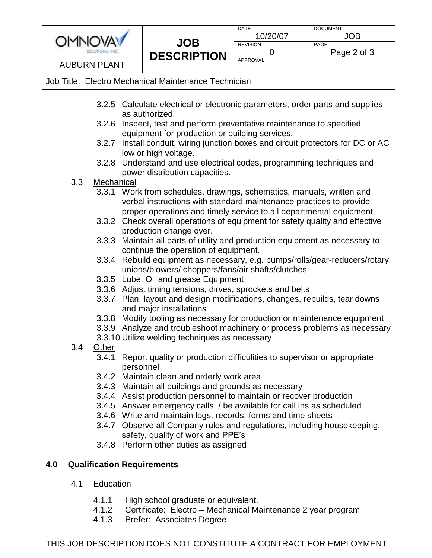

| <b>DATE</b>     | <b>DOCUMENT</b> |  |
|-----------------|-----------------|--|
| 10/20/07        | JOB.            |  |
| <b>REVISION</b> | PAGE            |  |
|                 | Page 2 of 3     |  |
| APPROVAL        |                 |  |
|                 |                 |  |

# Job Title: Electro Mechanical Maintenance Technician

- 3.2.5 Calculate electrical or electronic parameters, order parts and supplies as authorized.
- 3.2.6 Inspect, test and perform preventative maintenance to specified equipment for production or building services.
- 3.2.7 Install conduit, wiring junction boxes and circuit protectors for DC or AC low or high voltage.
- 3.2.8 Understand and use electrical codes, programming techniques and power distribution capacities.
- 3.3 Mechanical
	- 3.3.1 Work from schedules, drawings, schematics, manuals, written and verbal instructions with standard maintenance practices to provide proper operations and timely service to all departmental equipment.
	- 3.3.2 Check overall operations of equipment for safety quality and effective production change over.
	- 3.3.3 Maintain all parts of utility and production equipment as necessary to continue the operation of equipment.
	- 3.3.4 Rebuild equipment as necessary, e.g. pumps/rolls/gear-reducers/rotary unions/blowers/ choppers/fans/air shafts/clutches
	- 3.3.5 Lube, Oil and grease Equipment
	- 3.3.6 Adjust timing tensions, dirves, sprockets and belts
	- 3.3.7 Plan, layout and design modifications, changes, rebuilds, tear downs and major installations
	- 3.3.8 Modify tooling as necessary for production or maintenance equipment
	- 3.3.9 Analyze and troubleshoot machinery or process problems as necessary
	- 3.3.10 Utilize welding techniques as necessary
- 3.4 Other
	- 3.4.1 Report quality or production difficulities to supervisor or appropriate personnel
	- 3.4.2 Maintain clean and orderly work area
	- 3.4.3 Maintain all buildings and grounds as necessary
	- 3.4.4 Assist production personnel to maintain or recover production
	- 3.4.5 Answer emergency calls / be available for call ins as scheduled
	- 3.4.6 Write and maintain logs, records, forms and time sheets
	- 3.4.7 Observe all Company rules and regulations, including housekeeping, safety, quality of work and PPE's
	- 3.4.8 Perform other duties as assigned

# **4.0 Qualification Requirements**

- 4.1 Education
	- 4.1.1 High school graduate or equivalent.
	- 4.1.2 Certificate: Electro Mechanical Maintenance 2 year program
	- 4.1.3 Prefer: Associates Degree